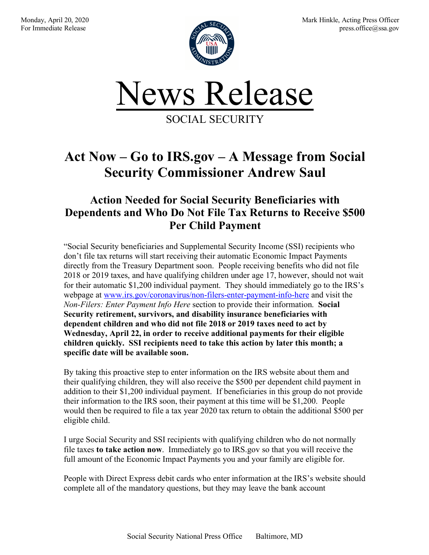

## **Act Now – Go to IRS.gov – A Message from Social Security Commissioner Andrew Saul**

## **Action Needed for Social Security Beneficiaries with Dependents and Who Do Not File Tax Returns to Receive \$500 Per Child Payment**

"Social Security beneficiaries and Supplemental Security Income (SSI) recipients who don't file tax returns will start receiving their automatic Economic Impact Payments directly from the Treasury Department soon. People receiving benefits who did not file 2018 or 2019 taxes, and have qualifying children under age 17, however, should not wait for their automatic \$1,200 individual payment. They should immediately go to the IRS's webpage at www.irs.gov/coronavirus/non-filers-enter-payment-info-here and visit the *Non-Filers: Enter Payment Info Here* section to provide their information. **Social Security retirement, survivors, and disability insurance beneficiaries with dependent children and who did not file 2018 or 2019 taxes need to act by Wednesday, April 22, in order to receive additional payments for their eligible children quickly. SSI recipients need to take this action by later this month; a specific date will be available soon.**

By taking this proactive step to enter information on the IRS website about them and their qualifying children, they will also receive the \$500 per dependent child payment in addition to their \$1,200 individual payment. If beneficiaries in this group do not provide their information to the IRS soon, their payment at this time will be \$1,200. People would then be required to file a tax year 2020 tax return to obtain the additional \$500 per eligible child.

I urge Social Security and SSI recipients with qualifying children who do not normally file taxes **to take action now**. Immediately go to IRS.gov so that you will receive the full amount of the Economic Impact Payments you and your family are eligible for.

People with Direct Express debit cards who enter information at the IRS's website should complete all of the mandatory questions, but they may leave the bank account